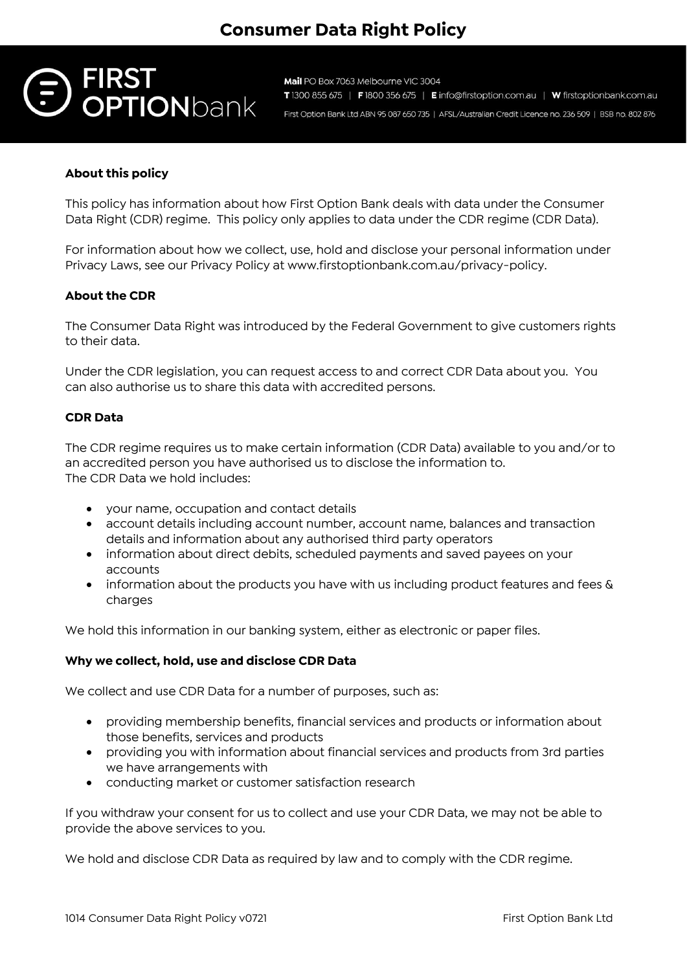

Mail PO Box 7063 Melbourne VIC 3004 T 1300 855 675 | F 1800 356 675 | E info@firstoption.com.au | W firstoptionbank.com.au First Option Bank Ltd ABN 95 087 650 735 | AFSL/Australian Credit Licence no. 236 509 | BSB no. 802 876

# **About this policy**

This policy has information about how First Option Bank deals with data under the Consumer Data Right (CDR) regime. This policy only applies to data under the CDR regime (CDR Data).

For information about how we collect, use, hold and disclose your personal information under Privacy Laws, see our Privacy Policy at www.firstoptionbank.com.au/privacy-policy.

## **About the CDR**

The Consumer Data Right was introduced by the Federal Government to give customers rights to their data.

Under the CDR legislation, you can request access to and correct CDR Data about you. You can also authorise us to share this data with accredited persons.

#### **CDR Data**

The CDR regime requires us to make certain information (CDR Data) available to you and/or to an accredited person you have authorised us to disclose the information to. The CDR Data we hold includes:

- your name, occupation and contact details
- account details including account number, account name, balances and transaction details and information about any authorised third party operators
- information about direct debits, scheduled payments and saved payees on your accounts
- information about the products you have with us including product features and fees  $\&$ charges

We hold this information in our banking system, either as electronic or paper files.

## **Why we collect, hold, use and disclose CDR Data**

We collect and use CDR Data for a number of purposes, such as:

- providing membership benefits, financial services and products or information about those benefits, services and products
- providing you with information about financial services and products from 3rd parties we have arrangements with
- conducting market or customer satisfaction research

If you withdraw your consent for us to collect and use your CDR Data, we may not be able to provide the above services to you.

We hold and disclose CDR Data as required by law and to comply with the CDR regime.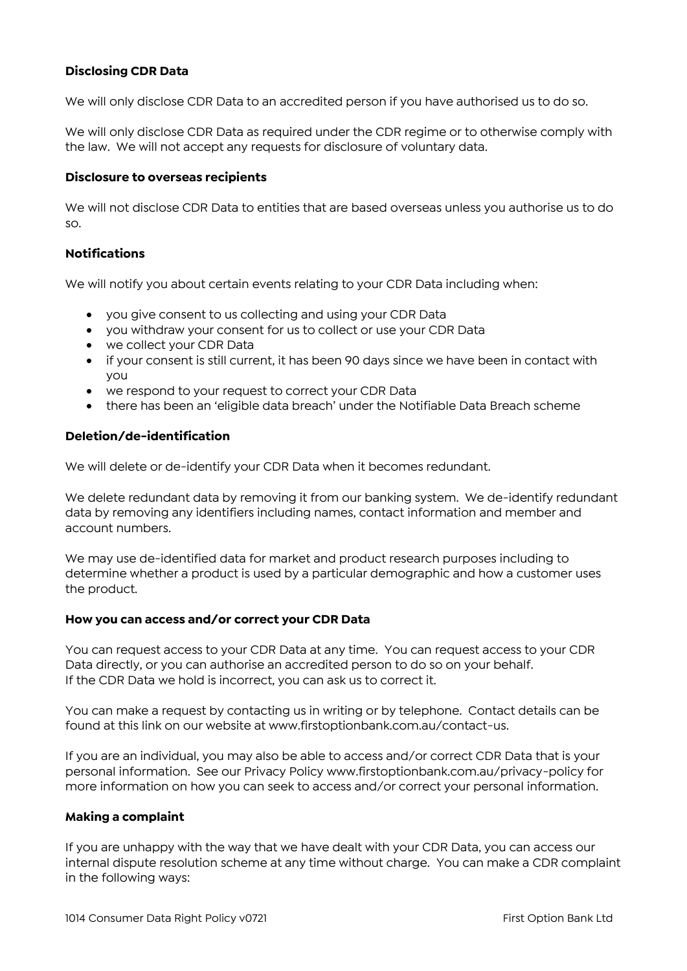# **Disclosing CDR Data**

We will only disclose CDR Data to an accredited person if you have authorised us to do so.

We will only disclose CDR Data as required under the CDR regime or to otherwise comply with the law. We will not accept any requests for disclosure of voluntary data.

### **Disclosure to overseas recipients**

We will not disclose CDR Data to entities that are based overseas unless you authorise us to do so.

## **Notifications**

We will notify you about certain events relating to your CDR Data including when:

- you give consent to us collecting and using your CDR Data
- you withdraw your consent for us to collect or use your CDR Data
- we collect your CDR Data
- if your consent is still current, it has been 90 days since we have been in contact with you
- we respond to your request to correct your CDR Data
- there has been an 'eligible data breach' under the Notifiable Data Breach scheme

#### **Deletion/de-identification**

We will delete or de-identify your CDR Data when it becomes redundant.

We delete redundant data by removing it from our banking system. We de-identify redundant data by removing any identifiers including names, contact information and member and account numbers.

We may use de-identified data for market and product research purposes including to determine whether a product is used by a particular demographic and how a customer uses the product.

#### **How you can access and/or correct your CDR Data**

You can request access to your CDR Data at any time. You can request access to your CDR Data directly, or you can authorise an accredited person to do so on your behalf. If the CDR Data we hold is incorrect, you can ask us to correct it.

You can make a request by contacting us in writing or by telephone. Contact details can be found at this link on our website at www.firstoptionbank.com.au/contact-us.

If you are an individual, you may also be able to access and/or correct CDR Data that is your personal information. See our Privacy Policy www.firstoptionbank.com.au/privacy-policy for more information on how you can seek to access and/or correct your personal information.

#### **Making a complaint**

If you are unhappy with the way that we have dealt with your CDR Data, you can access our internal dispute resolution scheme at any time without charge. You can make a CDR complaint in the following ways: